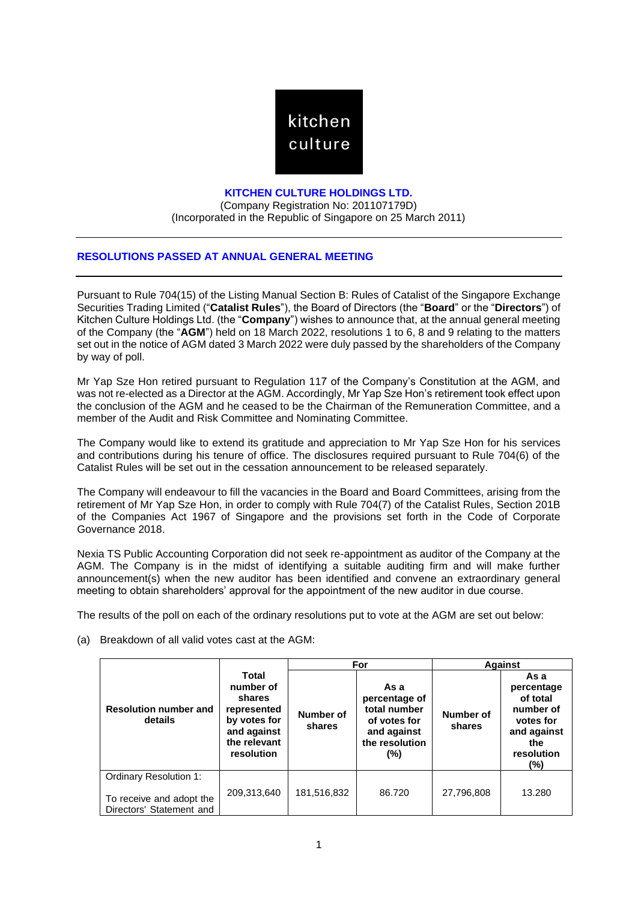

## **KITCHEN CULTURE HOLDINGS LTD.**

(Company Registration No: 201107179D) (Incorporated in the Republic of Singapore on 25 March 2011)

## **RESOLUTIONS PASSED AT ANNUAL GENERAL MEETING**

Pursuant to Rule 704(15) of the Listing Manual Section B: Rules of Catalist of the Singapore Exchange Securities Trading Limited ("**Catalist Rules**"), the Board of Directors (the "**Board**" or the "**Directors**") of Kitchen Culture Holdings Ltd. (the "**Company**") wishes to announce that, at the annual general meeting of the Company (the "**AGM**") held on 18 March 2022, resolutions 1 to 6, 8 and 9 relating to the matters set out in the notice of AGM dated 3 March 2022 were duly passed by the shareholders of the Company by way of poll.

Mr Yap Sze Hon retired pursuant to Regulation 117 of the Company's Constitution at the AGM, and was not re-elected as a Director at the AGM. Accordingly, Mr Yap Sze Hon's retirement took effect upon the conclusion of the AGM and he ceased to be the Chairman of the Remuneration Committee, and a member of the Audit and Risk Committee and Nominating Committee.

The Company would like to extend its gratitude and appreciation to Mr Yap Sze Hon for his services and contributions during his tenure of office. The disclosures required pursuant to Rule 704(6) of the Catalist Rules will be set out in the cessation announcement to be released separately.

The Company will endeavour to fill the vacancies in the Board and Board Committees, arising from the retirement of Mr Yap Sze Hon, in order to comply with Rule 704(7) of the Catalist Rules, Section 201B of the Companies Act 1967 of Singapore and the provisions set forth in the Code of Corporate Governance 2018.

Nexia TS Public Accounting Corporation did not seek re-appointment as auditor of the Company at the AGM. The Company is in the midst of identifying a suitable auditing firm and will make further announcement(s) when the new auditor has been identified and convene an extraordinary general meeting to obtain shareholders' approval for the appointment of the new auditor in due course.

The results of the poll on each of the ordinary resolutions put to vote at the AGM are set out below:

- **Resolution number and details Total number of shares represented by votes for and against the relevant resolution For Against Number of shares As a percentage of total number of votes for and against the resolution (%) Number of shares As a percentage of total number of votes for and against the resolution (%)** Ordinary Resolution 1: To receive and adopt the Directors' Statement and 209,313,640 | 181,516,832 | 86.720 | 27,796,808 | 13.280
- (a) Breakdown of all valid votes cast at the AGM: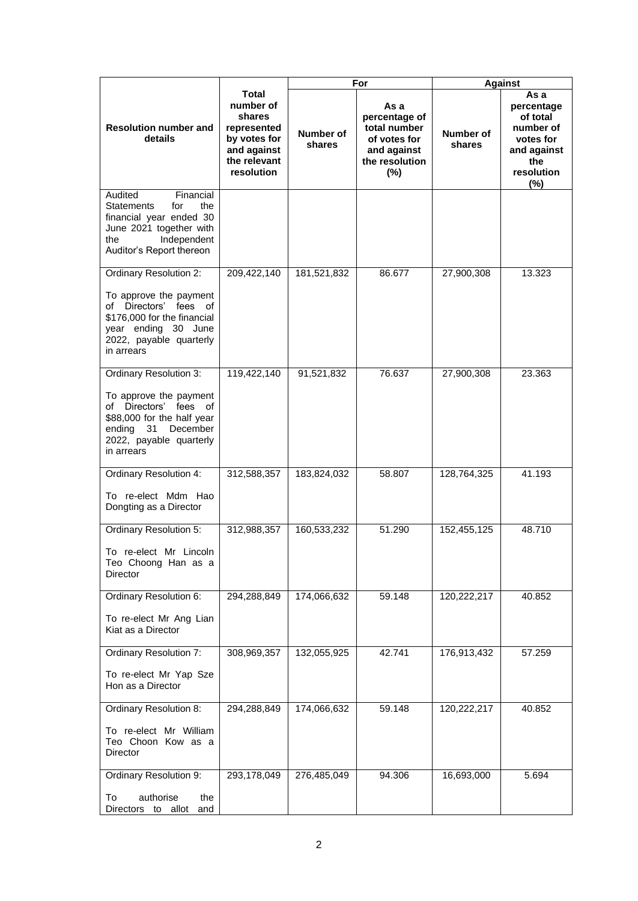|                                                                                                                                                                                 |                                                                                                                 | For                        |                                                                                                   | <b>Against</b>      |                                                                                                     |
|---------------------------------------------------------------------------------------------------------------------------------------------------------------------------------|-----------------------------------------------------------------------------------------------------------------|----------------------------|---------------------------------------------------------------------------------------------------|---------------------|-----------------------------------------------------------------------------------------------------|
| <b>Resolution number and</b><br>details                                                                                                                                         | <b>Total</b><br>number of<br>shares<br>represented<br>by votes for<br>and against<br>the relevant<br>resolution | <b>Number of</b><br>shares | As a<br>percentage of<br>total number<br>of votes for<br>and against<br>the resolution<br>$(\% )$ | Number of<br>shares | As a<br>percentage<br>of total<br>number of<br>votes for<br>and against<br>the<br>resolution<br>(%) |
| Audited<br>Financial<br><b>Statements</b><br>for<br>the<br>financial year ended 30<br>June 2021 together with<br>Independent<br>the<br>Auditor's Report thereon                 |                                                                                                                 |                            |                                                                                                   |                     |                                                                                                     |
| <b>Ordinary Resolution 2:</b><br>To approve the payment<br>of Directors' fees of<br>\$176,000 for the financial<br>year ending 30 June<br>2022, payable quarterly<br>in arrears | 209,422,140                                                                                                     | 181,521,832                | 86.677                                                                                            | 27,900,308          | 13.323                                                                                              |
| Ordinary Resolution 3:<br>To approve the payment<br>of Directors' fees of<br>\$88,000 for the half year<br>December<br>ending 31<br>2022, payable quarterly<br>in arrears       | 119,422,140                                                                                                     | 91,521,832                 | 76.637                                                                                            | 27,900,308          | 23.363                                                                                              |
| Ordinary Resolution 4:<br>To re-elect Mdm Hao<br>Dongting as a Director                                                                                                         | 312,588,357                                                                                                     | 183,824,032                | 58.807                                                                                            | 128,764,325         | 41.193                                                                                              |
| Ordinary Resolution 5:<br>To re-elect Mr Lincoln<br>Teo Choong Han as a<br>Director                                                                                             | 312,988,357                                                                                                     | 160,533,232                | 51.290                                                                                            | 152,455,125         | 48.710                                                                                              |
| Ordinary Resolution 6:<br>To re-elect Mr Ang Lian<br>Kiat as a Director                                                                                                         | 294,288,849                                                                                                     | 174,066,632                | 59.148                                                                                            | 120,222,217         | 40.852                                                                                              |
| <b>Ordinary Resolution 7:</b><br>To re-elect Mr Yap Sze<br>Hon as a Director                                                                                                    | 308,969,357                                                                                                     | 132,055,925                | 42.741                                                                                            | 176,913,432         | 57.259                                                                                              |
| Ordinary Resolution 8:<br>To re-elect Mr William<br>Teo Choon Kow as a<br>Director                                                                                              | 294,288,849                                                                                                     | 174,066,632                | 59.148                                                                                            | 120,222,217         | 40.852                                                                                              |
| Ordinary Resolution 9:<br>authorise<br>the<br>To<br>Directors to allot<br>and                                                                                                   | 293,178,049                                                                                                     | 276,485,049                | 94.306                                                                                            | 16,693,000          | 5.694                                                                                               |